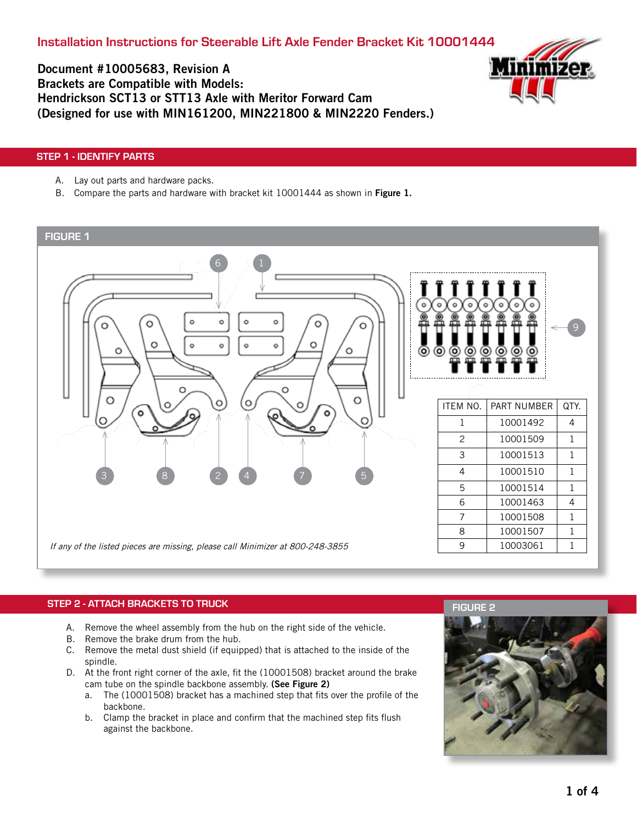

Document #10005683, Revision A Brackets are Compatible with Models: Hendrickson SCT13 or STT13 Axle with Meritor Forward Cam (Designed for use with MIN161200, MIN221800 & MIN2220 Fenders.)

# STEP 1 - IDENTIFY PARTS

- A. Lay out parts and hardware packs.
- B. Compare the parts and hardware with bracket kit 10001444 as shown in Figure 1.

### FIGURE 1



# STEP 2 - ATTACH BRACKETS TO TRUCK

- A. Remove the wheel assembly from the hub on the right side of the vehicle.
- B. Remove the brake drum from the hub.
- C. Remove the metal dust shield (if equipped) that is attached to the inside of the spindle.
- D. At the front right corner of the axle, fit the (10001508) bracket around the brake cam tube on the spindle backbone assembly. (See Figure 2)
	- a. The (10001508) bracket has a machined step that fits over the profile of the backbone.
	- b. Clamp the bracket in place and confirm that the machined step fits flush against the backbone.

## FIGURE 2

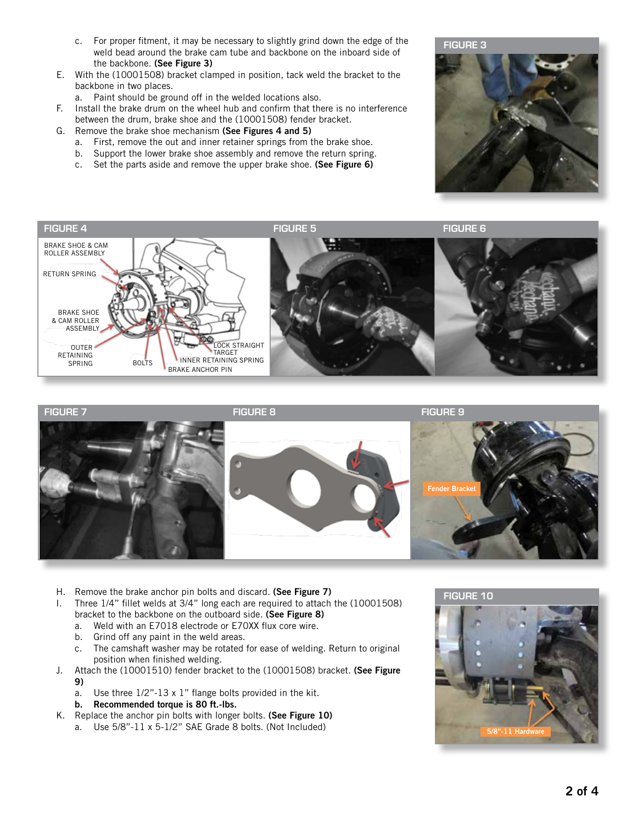- c. For proper fitment, it may be necessary to slightly grind down the edge of the weld bead around the brake cam tube and backbone on the inboard side of the backbone. (See Figure 3)
- E. With the (10001508) bracket clamped in position, tack weld the bracket to the backbone in two places.
	- a. Paint should be ground off in the welded locations also.
- F. Install the brake drum on the wheel hub and confirm that there is no interference between the drum, brake shoe and the (10001508) fender bracket.
- G. Remove the brake shoe mechanism (See Figures 4 and 5)
	- a. First, remove the out and inner retainer springs from the brake shoe.
	- b. Support the lower brake shoe assembly and remove the return spring.
	- c. Set the parts aside and remove the upper brake shoe. (See Figure 6)







- H. Remove the brake anchor pin bolts and discard. (See Figure 7)
- I. Three 1/4" fillet welds at 3/4" long each are required to attach the (10001508) bracket to the backbone on the outboard side. (See Figure 8)
	- a. Weld with an E7018 electrode or E70XX flux core wire.
	- b. Grind off any paint in the weld areas.
	- c. The camshaft washer may be rotated for ease of welding. Return to original position when finished welding.
- J. Attach the (10001510) fender bracket to the (10001508) bracket. (See Figure 9)
	- a. Use three 1/2"-13 x 1" flange bolts provided in the kit.
	- b. Recommended torque is 80 ft.-lbs.
- K. Replace the anchor pin bolts with longer bolts. (See Figure 10)
	- a. Use 5/8"-11 x 5-1/2" SAE Grade 8 bolts. (Not Included)

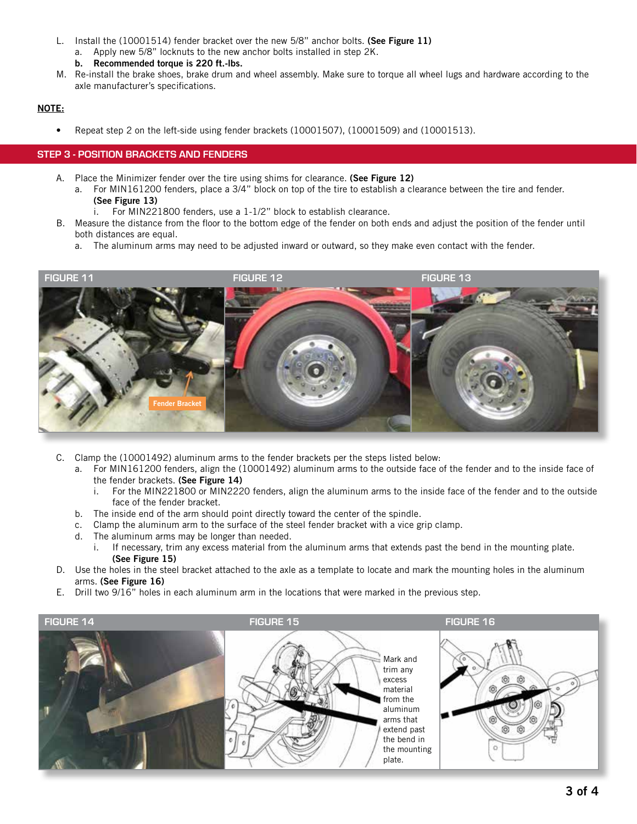- L. Install the (10001514) fender bracket over the new 5/8" anchor bolts. (See Figure 11)
	- a. Apply new 5/8" locknuts to the new anchor bolts installed in step 2K.
	- b. Recommended torque is 220 ft.-lbs.
- M. Re-install the brake shoes, brake drum and wheel assembly. Make sure to torque all wheel lugs and hardware according to the axle manufacturer's specifications.

## NOTE:

• Repeat step 2 on the left-side using fender brackets (10001507), (10001509) and (10001513).

### STEP 3 - POSITION BRACKETS AND FENDERS

- A. Place the Minimizer fender over the tire using shims for clearance. (See Figure 12)
	- a. For MIN161200 fenders, place a 3/4" block on top of the tire to establish a clearance between the tire and fender. (See Figure 13)
		- i. For MIN221800 fenders, use a 1-1/2" block to establish clearance.
- B. Measure the distance from the floor to the bottom edge of the fender on both ends and adjust the position of the fender until both distances are equal.
	- a. The aluminum arms may need to be adjusted inward or outward, so they make even contact with the fender.



- C. Clamp the (10001492) aluminum arms to the fender brackets per the steps listed below:
	- a. For MIN161200 fenders, align the (10001492) aluminum arms to the outside face of the fender and to the inside face of the fender brackets. (See Figure 14)
		- i. For the MIN221800 or MIN2220 fenders, align the aluminum arms to the inside face of the fender and to the outside face of the fender bracket.
	- b. The inside end of the arm should point directly toward the center of the spindle.
	- c. Clamp the aluminum arm to the surface of the steel fender bracket with a vice grip clamp.
	- d. The aluminum arms may be longer than needed.
		- i. If necessary, trim any excess material from the aluminum arms that extends past the bend in the mounting plate. (See Figure 15)
- D. Use the holes in the steel bracket attached to the axle as a template to locate and mark the mounting holes in the aluminum arms. (See Figure 16)
- E. Drill two 9/16" holes in each aluminum arm in the locations that were marked in the previous step.